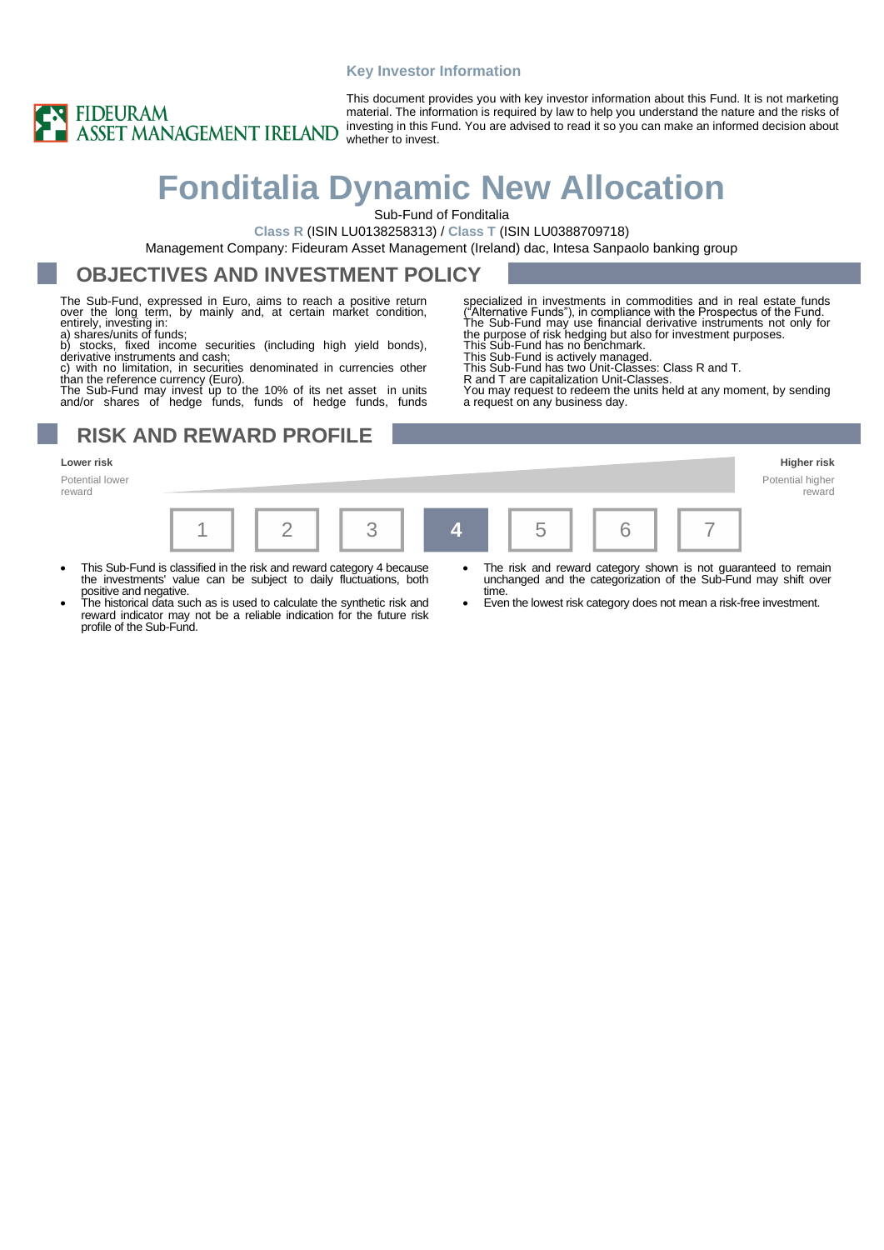#### **Key Investor Information**



This document provides you with key investor information about this Fund. It is not marketing material. The information is required by law to help you understand the nature and the risks of investing in this Fund. You are advised to read it so you can make an informed decision about whether to invest.

# **Fonditalia Dynamic New Allocation**

Sub-Fund of Fonditalia

**Class R** (ISIN LU0138258313) / **Class T** (ISIN LU0388709718)

Management Company: Fideuram Asset Management (Ireland) dac, Intesa Sanpaolo banking group

#### **OBJECTIVES AND INVESTMENT POLICY**

The Sub-Fund, expressed in Euro, aims to reach a positive return over the long term, by mainly and, at certain market condition, entirely, investing in: a) shares/units of funds;

b) stocks, fixed income securities (including high yield bonds), derivative instruments and cash;

c) with no limitation, in securities denominated in currencies other<br>than the reference currency (Euro).<br>The Sub-Fund may invest up to the 10% of its net asset in units<br>and/or shares of hedge funds, funds of hedge funds, f

### **RISK AND REWARD PROFILE**

Potential lower reward



This Sub-Fund is actively managed.

This Sub-Fund has two Unit-Classes: Class R and T. R and T are capitalization Unit-Classes.

You may request to redeem the units held at any moment, by sending a request on any business day.



- This Sub-Fund is classified in the risk and reward category 4 because the investments' value can be subject to daily fluctuations, both positive and negative.
	- The historical data such as is used to calculate the synthetic risk and reward indicator may not be a reliable indication for the future risk profile of the Sub-Fund.
- The risk and reward category shown is not guaranteed to remain unchanged and the categorization of the Sub-Fund may shift over time.
	- Even the lowest risk category does not mean a risk-free investment.